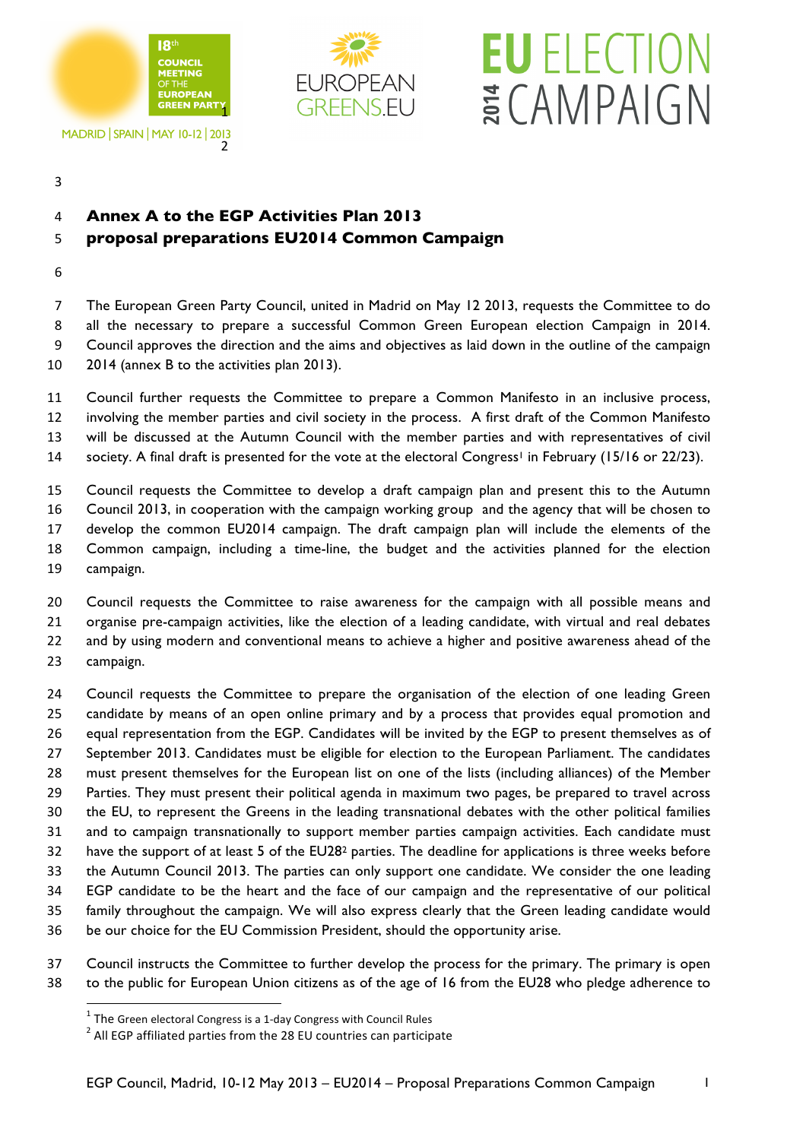

MADRID | SPAIN | MAY 10-12 | 2013 



## **EU** ELECTION ECAMPAIGN

## **Annex A to the EGP Activities Plan 2013**

## **proposal preparations EU2014 Common Campaign**

 The European Green Party Council, united in Madrid on May 12 2013, requests the Committee to do all the necessary to prepare a successful Common Green European election Campaign in 2014. Council approves the direction and the aims and objectives as laid down in the outline of the campaign 2014 (annex B to the activities plan 2013).

 Council further requests the Committee to prepare a Common Manifesto in an inclusive process, involving the member parties and civil society in the process. A first draft of the Common Manifesto will be discussed at the Autumn Council with the member parties and with representatives of civil 14 society. A final draft is presented for the vote at the electoral Congress<sup>1</sup> in February (15/16 or 22/23).

 Council requests the Committee to develop a draft campaign plan and present this to the Autumn Council 2013, in cooperation with the campaign working group and the agency that will be chosen to develop the common EU2014 campaign. The draft campaign plan will include the elements of the Common campaign, including a time-line, the budget and the activities planned for the election campaign.

 Council requests the Committee to raise awareness for the campaign with all possible means and organise pre-campaign activities, like the election of a leading candidate, with virtual and real debates and by using modern and conventional means to achieve a higher and positive awareness ahead of the campaign.

 Council requests the Committee to prepare the organisation of the election of one leading Green candidate by means of an open online primary and by a process that provides equal promotion and equal representation from the EGP. Candidates will be invited by the EGP to present themselves as of September 2013. Candidates must be eligible for election to the European Parliament. The candidates must present themselves for the European list on one of the lists (including alliances) of the Member Parties. They must present their political agenda in maximum two pages, be prepared to travel across the EU, to represent the Greens in the leading transnational debates with the other political families and to campaign transnationally to support member parties campaign activities. Each candidate must 32 have the support of at least 5 of the EU28<sup>2</sup> parties. The deadline for applications is three weeks before the Autumn Council 2013. The parties can only support one candidate. We consider the one leading EGP candidate to be the heart and the face of our campaign and the representative of our political family throughout the campaign. We will also express clearly that the Green leading candidate would be our choice for the EU Commission President, should the opportunity arise.

 Council instructs the Committee to further develop the process for the primary. The primary is open to the public for European Union citizens as of the age of 16 from the EU28 who pledge adherence to

!!!!!!!!!!!!!!!!!!!!!!!!!!!!!!!!!!!!!!!!!!!!!!!!!!!!!!!!!!!!

<sup>&</sup>lt;sup>1</sup> The Green electoral Congress is a 1-day Congress with Council Rules  $^2$  All EGP affiliated parties from the 28 EU countries can participate